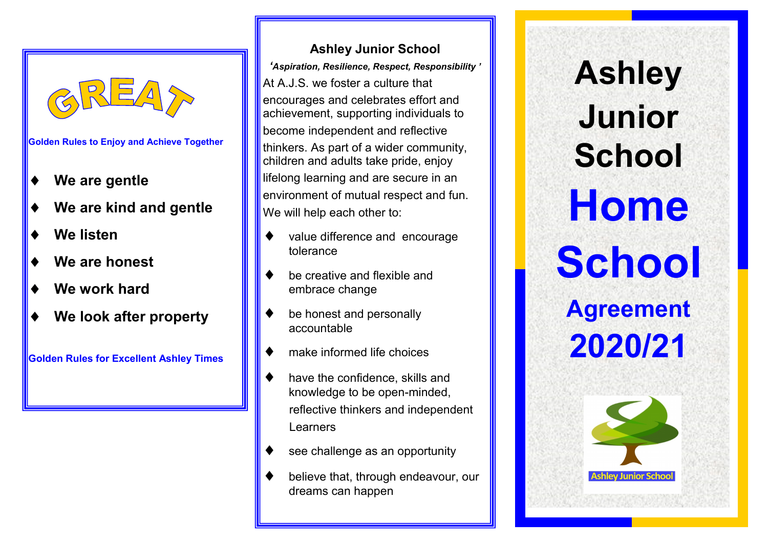

**Golden Rules to Enjoy and Achieve Together**

- **We are gentle**
- **We are kind and gentle**
- **We listen**
- **We are honest**
- **We work hard**
- **We look after property**

**Golden Rules for Excellent Ashley Times**

# **Ashley Junior School**

*'Aspiration, Resilience, Respect, Responsibility '* At A.J.S. we foster a culture that encourages and celebrates effort and achievement, supporting individuals to become independent and reflective thinkers. As part of a wider community, children and adults take pride, enjoy lifelong learning and are secure in an environment of mutual respect and fun. We will help each other to:

- value difference and encourage tolerance
- be creative and flexible and embrace change
- be honest and personally accountable
- make informed life choices
- have the confidence, skills and knowledge to be open-minded, reflective thinkers and independent Learners
- see challenge as an opportunity
- believe that, through endeavour, our dreams can happen

# **Ashley Junior School Home School Agreement 2020/21**